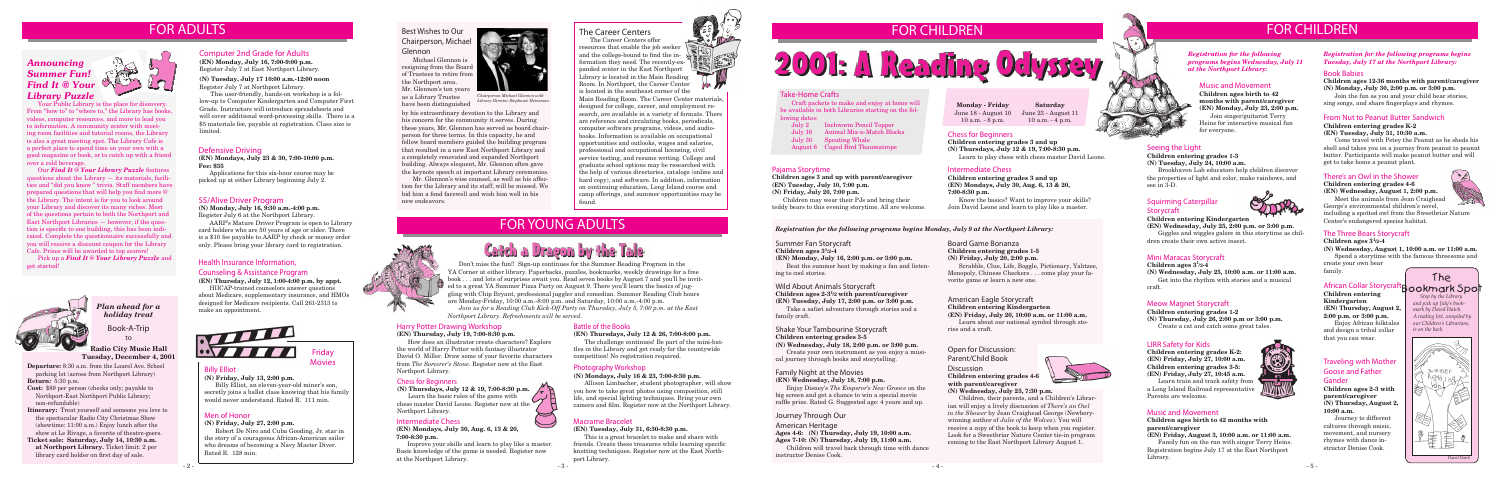## Health Insurance Information, Counseling & Assistance Program

**(EN) Thursday, July 12, 1:00-4:00 p.m. by appt.**

HIICAP-trained counselors answer questions about Medicare, supplementary insurance, and HMOs designed for Medicare recipients. Call 261-2313 to make an appointment.

Billy Elliot

**(N) Friday, July 13, 2:00 p.m.**

Billy Elliot, an eleven-year-old miner's son, secretly joins a ballet class knowing that his family would never understand. Rated R. 111 min.





### Photography Workshop

### **(N) Mondays, July 16 & 23, 7:00-8:30 p.m.**

Allison Limbacher, student photographer, will show you how to take great photos using composition, still life, and special lighting techniques. Bring your own camera and film. Register now at the Northport Library.



### Summer Fan Storycraft

### **Children ages 3<sup>1</sup> /2-4**

**(EN) Monday, July 16, 2:00 p.m. or 3:00 p.m.**

Beat the summer heat by making a fan and listening to cool stories.

*Registration for the following programs begins Monday, July 9 at the Northport Library:*

# Wild About Animals Storycraft

**Children ages 2-3<sup>1</sup> /2 with parent/caregiver (EN) Tuesday, July 17, 2:00 p.m. or 3:00 p.m.** 

Take a safari adventure through stories and a family craft.

*Registration for the following programs begins Wednesday, July 11 at the Northport Library:*

## Seeing the Light

#### **Children entering grades 1-3 (N) Tuesday, July 24, 10:00 a.m.**

Brookhaven Lab educators help children discover the properties of light and color, make rainbows, and see in 3-D.

### Shake Your Tambourine Storycraft **Children entering grades 3-5**

**(N) Wednesday, July 18, 2:00 p.m. or 3:00 p.m.**

Create your own instrument as you enjoy a musical journey through books and storytelling.

## 55/Alive Driver Program

**(N) Monday, July 16, 9:30 a.m.-4:00 p.m.** Register July 6 at the Northport Library.

AARP's Mature Driver Program is open to Library card holders who are 50 years of age or older. There is a \$10 fee payable to AARP by check or money order only. Please bring your library card to registration.

# Chess for Beginners

**Children entering grades 3 and up (N) Thursdays, July 12 & 19, 7:00-8:30 p.m.** Learn to play chess with chess master David Leone.

### Intermediate Chess

**Children entering grades 3 and up (EN) Mondays, July 30, Aug. 6, 13 & 20, 7:00-8:30 p.m.**

Know the basics? Want to improve your skills? Join David Leone and learn to play like a master.

### Defensive Driving

**(EN) Mondays, July 23 & 30, 7:00-10:00 p.m. Fee: \$35** 

Applications for this six-hour course may be picked up at either Library beginning July 2.

### Computer 2nd Grade for Adults

**(EN) Monday, July 16, 7:00-9:00 p.m.** Register July 7 at East Northport Library.

# Squirming Caterpillar **Storycraft**



**(N) Tuesday, July 17 10:00 a.m.-12:00 noon** Register July 7 at Northport Library.

This user-friendly, hands-on workshop is a follow-up to Computer Kindergarten and Computer First Grade. Instructors will introduce spreadsheets and will cover additional word-processing skills. There is a \$5 materials fee, payable at registration. Class size is limited.

# Best Wishes to Our Chairperson, Michael Glennon

Michael Glennon is resigning from the Board of Trustees to retire from the Northport area. Mr. Glennon's ten years as a Library Trustee

have been distinguished

by his extraordinary devotion to the Library and his concern for the community it serves. During these years, Mr. Glennon has served as board chairperson for three terms. In this capacity, he and fellow board members guided the building program that resulted in a new East Northport Library and a completely renovated and expanded Northport building. Always eloquent, Mr. Glennon often gave the keynote speech at important Library ceremonies.

Mr. Glennon's wise counsel, as well as his affection for the Library and its staff, will be missed. We bid him a fond farewell and wish him well in his new endeavors.





*Chairperson Michael Glennon with Library Director Stephanie Heineman*

### Take-Home Crafts

Craft packets to make and enjoy at home will be available in both Libraries starting on the following dates:

- July 2 Inchworm Pencil Topper
- July 16 Animal Mix-n-Match Blocks
- July 30 Spouting Whale
- August 6 Caged Bird Thaumatrope
- Pajama Storytime

**Children ages 3 and up with parent/caregiver (EN) Tuesday, July 10, 7:00 p.m. (N) Friday, July 20, 7:00 p.m.**

Children may wear their PJs and bring their teddy bears to this evening storytime. All are welcome.

# Family Night at the Movies

**(EN) Wednesday, July 18, 7:00 p.m.** Enjoy Disney's *The Emperor's New Groove* on the big screen and get a chance to win a special movie raffle prize. Rated G. Suggested age: 4 years and up.

### Journey Through Our

#### American Heritage

- **Ages 4-6: (N) Thursday, July 19, 10:00 a.m.**
- **Ages 7-10: (N) Thursday, July 19, 11:00 a.m.**

Children will travel back through time with dance instructor Denise Cook.

### American Eagle Storycraft **Children entering Kindergarten**

**(EN) Friday, July 20, 10:00 a.m. or 11:00 a.m.** Learn about our national symbol through stories and a craft.

### Board Game Bonanza **Children entering grades 1-5 (N) Friday, July 20, 2:00 p.m.**

Scrabble, Clue, Life, Boggle, Pictionary, Yahtzee, Monopoly, Chinese Checkers . . . come play your favorite game or learn a new one.

# Mini Maracas Storycraft

**Children ages 3<sup>1</sup> /2-4**

**(N) Wednesday, July 25, 10:00 a.m. or 11:00 a.m.** Get into the rhythm with stories and a musical craft.

# **Children entering Kindergarten**

**(EN) Wednesday, July 25, 2:00 p.m. or 3:00 p.m.** Giggles and wiggles galore in this storytime as children create their own active insect.

> *Stop by the Library and pick up July's bookmark by David Hatch. A reading list, compiled by our Children's Librarians, is on the back.* tBookmark Spot

## Music and Movement

**Children ages birth to 42 months with parent/caregiver (EN) Monday, July 23, 2:00 p.m.** Join singer/guitarist Terry Heins for interactive musical fun for everyone.

**Discussion Children entering grades 4-6 with parent/caregiver**



# Meow Magnet Storycraft

**Children entering grades 1-2 (N) Thursday, July 26, 2:00 p.m or 3:00 p.m.**

Create a cat and catch some great tales.

### LIRR Safety for Kids

**Children entering grades K-2: (EN) Friday, July 27, 10:00 a.m. Children entering grades 3-5: (EN) Friday, July 27, 10:45 a.m.**



Learn train and track safety from a Long Island Railroad representative. Parents are welcome.

### *Registration for the following programs begins Tuesday, July 17 at the Northport Library:*

### Book Babies

### **Children ages 12-36 months with parent/caregiver (N) Monday, July 30, 2:00 p.m. or 3:00 p.m.**

Join the fun as you and your child hear stories, sing songs, and share fingerplays and rhymes.

## From Nut to Peanut Butter Sandwich

### **Children entering grades K-2 (EN) Tuesday, July 31, 10:30 a.m.**

Come travel with Petey the Peanut as he sheds his shell and takes you on a journey from peanut to peanut butter. Participants will make peanut butter and will get to take home a peanut plant.

# There's an Owl in the Shower

### **Children entering grades 4-6 (EN) Wednesday, August 1, 2:00 p.m.**



George's environmental children's novel, including a spotted owl from the Sweetbriar Nature Center's endangered species habitat.

# The Three Bears Storycraft

**Children ages 3<sup>1</sup> /2-4**

**(N) Wednesday, August 1, 10:00 a.m. or 11:00 a.m.**

Spend a storytime with the famous threesome and create your own bear

family.

# **African Collar Storycra**

**Children entering Kindergarten (EN) Thursday, August 2, 2:00 p.m. or 3:00 p.m.** Enjoy African folktales and design a tribal collar that you can wear.

### Traveling with Mother Goose and Father Gander

**Children ages 2-3 with parent/caregiver (N) Thursday, August 2, 10:00 a.m.**

Journey to different cultures through music, movement, and nursery rhymes with dance instructor Denise Cook.

**Departure:** 8:30 a.m. from the Laurel Ave. School parking lot (across from Northport Library) **Return:** 5:30 p.m.

**Cost:** \$89 per person (checks only; payable to Northport-East Northport Public Library; non-refundable)

**Itinerary:** Treat yourself and someone you love to the spectacular Radio City Christmas Show (showtime: 11:00 a.m.) Enjoy lunch after the show at Le Rivage, a favorite of theatre-goers.

**Ticket sale: Saturday, July 14, 10:30 a.m. at Northport Library.** Ticket limit: 2 per library card holder on first day of sale.

Book-A-Trip to

**Radio City Music Hall Tuesday, December 4, 2001**

# FOR CHILDREN FOR CHILDREN

### Battle of the Books

#### **(EN) Thursdays, July 12 & 26, 7:00-8:00 p.m.**

The challenge continues! Be part of the mini-battles in the Library and get ready for the countywide competition! No registration required.

### Chess for Beginners

**(N) Thursdays, July 12 & 19, 7:00-8:30 p.m.** Learn the basic rules of the game with chess master David Leone. Register now at the

Northport Library.

### Intermediate Chess

**(EN) Mondays, July 30, Aug. 6, 13 & 20, 7:00-8:30 p.m.**

Improve your skills and learn to play like a master. Basic knowledge of the game is needed. Register now at the Northport Library.

### Harry Potter Drawing Workshop

**(EN) Thursday, July 19, 7:00-8:30 p.m.**

How does an illustrator create characters? Explore the world of Harry Potter with fantasy illustrator David O. Miller. Draw some of your favorite characters from *The Sorcerer's Stone*. Register now at the East Northport Library.

# Macrame Bracelet

### **(EN) Tuesday, July 31, 6:30-8:30 p.m.**

This is a great bracelet to make and share with friends. Create these treasures while learning specific knotting techniques. Register now at the East Northport Library.



2001: A Reading Odyssey

# FOR YOUNG ADULTS



Don't miss the fun!! Sign-up continues for the Summer Reading Program in the YA Corner at either library. Paperbacks, puzzles, bookmarks, weekly drawings for a free book . . . and lots of surprises await you. Read seven books by August 7 and you'll be invited to a great YA Summer Pizza Party on August 9. There you'll learn the basics of juggling with Chip Bryant, professional juggler and comedian. Summer Reading Club hours are Monday-Friday, 10:00 a.m.-8:00 p.m. and Saturday, 10:00 a.m.-4:00 p.m. *Join us for a Reading Club Kick-Off Party on Thursday, July 5, 7:00 p.m. at the East Northport Library. Refreshments will be served.*

# The Career Centers

The Career Centers offer resources that enable the job seeker and the college-bound to find the information they need. The recently-expanded center in the East Northport Library is located in the Main Reading Room. In Northport, the Career Center is located in the southeast corner of the

Main Reading Room. The Career Center materials, designed for college, career, and employment research, are available in a variety of formats. There are reference and circulating books, periodicals, computer software programs, videos, and audiobooks. Information is available on occupational opportunities and outlooks, wages and salaries, professional and occupational licensing, civil service testing, and resume writing. College and graduate school options may be researched with the help of various directories, catalogs (online and hard copy), and software. In addition, information on continuing education, Long Island course and camp offerings, and summer opportunities may be found.

The



### Men of Honor

#### **(N) Friday, July 27, 2:00 p.m.**

Robert De Niro and Cuba Gooding, Jr. star in the story of a courageous African-American sailor who dreams of becoming a Navy Master Diver. Rated R. 128 min.

# FOR ADULTS

# Open for Discussion:

Parent/Child Book

## **(N) Wednesday, July 25, 7:30 p.m.**

Children, their parents, and a Children's Librarian will enjoy a lively discussion of *There's an Owl in the Shower* by Jean Craighead George (Newberywinning author of *Julie of the Wolves*). You will receive a copy of the book to keep when you register. Look for a Sweetbriar Nature Center tie-in program coming to the East Northport Library August 1.

### **Monday - Friday** June 18 - August 10 June 23 - August 11 10 a.m. - 8 p.m.

**Saturday** 10 a.m. - 4 p.m.

*Plan ahead for a holiday treat*

# Music and Movement

### **Children ages birth to 42 months with parent/caregiver**

**(EN) Friday, August 3, 10:00 a.m. or 11:00 a.m.** Family fun on the run with singer Terry Heins. Registration begins July 17 at the East Northport Library.

# Announcing Summer Fun! Find It @ Your Library Puzzle



Your Public Library is the place for discovery. From "how to" to "where to," the Library has books, videos, computer resources, and more to lead you to information. A community center with meeting room facilities and tutorial rooms, the Library is also a great meeting spot. The Library Cafe is a perfect place to spend time on your own with a good magazine or book, or to catch up with a friend over a cold beverage.

Our *Find It @ Your Library Puzzle* features questions about the Library — its materials, facilities and "did you know " trivia. Staff members have prepared questions that will help you find more @ the Library. The intent is for you to look around your Library and discover its many riches. Most of the questions pertain to both the Northport and East Northport Libraries — however, if the question is specific to one building, this has been indicated. Complete the questionnaire successfully and you will receive a discount coupon for the Library Cafe. Prizes will be awarded to top scorers!

Pick up a *Find It @ Your Library Puzzle* and get started!